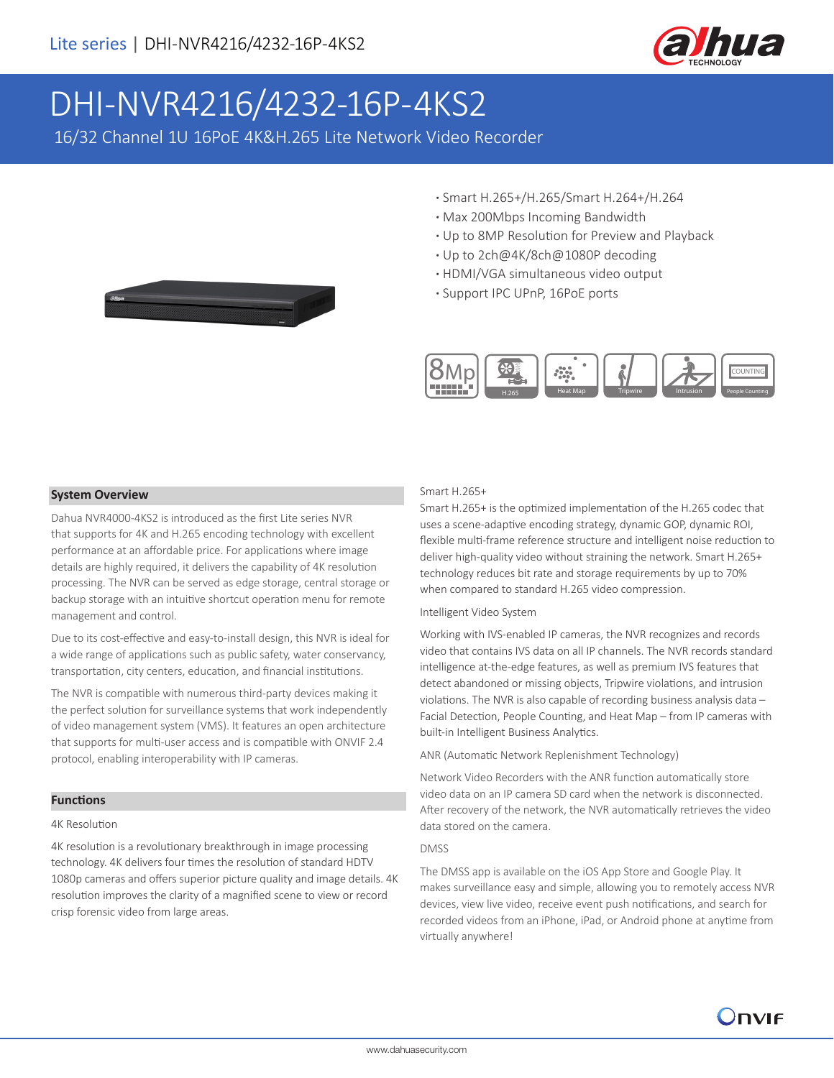

# DHI-NVR4216/4232-16P-4KS2

16/32 Channel 1U 16PoE 4K&H.265 Lite Network Video Recorder

- **·** Smart H.265+/H.265/Smart H.264+/H.264
- **·** Max 200Mbps Incoming Bandwidth
- **·** Up to 8MP Resolution for Preview and Playback
- **·** Up to 2ch@4K/8ch@1080P decoding
- **·** HDMI/VGA simultaneous video output
- **·** Support IPC UPnP, 16PoE ports



#### **System Overview**

Dahua NVR4000-4KS2 is introduced as the first Lite series NVR that supports for 4K and H.265 encoding technology with excellent performance at an affordable price. For applications where image details are highly required, it delivers the capability of 4K resolution processing. The NVR can be served as edge storage, central storage or backup storage with an intuitive shortcut operation menu for remote management and control.

Due to its cost-effective and easy-to-install design, this NVR is ideal for a wide range of applications such as public safety, water conservancy, transportation, city centers, education, and financial institutions.

The NVR is compatible with numerous third-party devices making it the perfect solution for surveillance systems that work independently of video management system (VMS). It features an open architecture that supports for multi-user access and is compatible with ONVIF 2.4 protocol, enabling interoperability with IP cameras.

#### **Functions**

#### 4K Resolution

4K resolution is a revolutionary breakthrough in image processing technology. 4K delivers four times the resolution of standard HDTV 1080p cameras and offers superior picture quality and image details. 4K resolution improves the clarity of a magnified scene to view or record crisp forensic video from large areas.

#### Smart H.265+

Smart H.265+ is the optimized implementation of the H.265 codec that uses a scene-adaptive encoding strategy, dynamic GOP, dynamic ROI, flexible multi-frame reference structure and intelligent noise reduction to deliver high-quality video without straining the network. Smart H.265+ technology reduces bit rate and storage requirements by up to 70% when compared to standard H.265 video compression.

#### Intelligent Video System

Working with IVS-enabled IP cameras, the NVR recognizes and records video that contains IVS data on all IP channels. The NVR records standard intelligence at-the-edge features, as well as premium IVS features that detect abandoned or missing objects, Tripwire violations, and intrusion violations. The NVR is also capable of recording business analysis data – Facial Detection, People Counting, and Heat Map – from IP cameras with built-in Intelligent Business Analytics.

ANR (Automatic Network Replenishment Technology)

Network Video Recorders with the ANR function automatically store video data on an IP camera SD card when the network is disconnected. After recovery of the network, the NVR automatically retrieves the video data stored on the camera.

#### DMSS

The DMSS app is available on the iOS App Store and Google Play. It makes surveillance easy and simple, allowing you to remotely access NVR devices, view live video, receive event push notifications, and search for recorded videos from an iPhone, iPad, or Android phone at anytime from virtually anywhere!

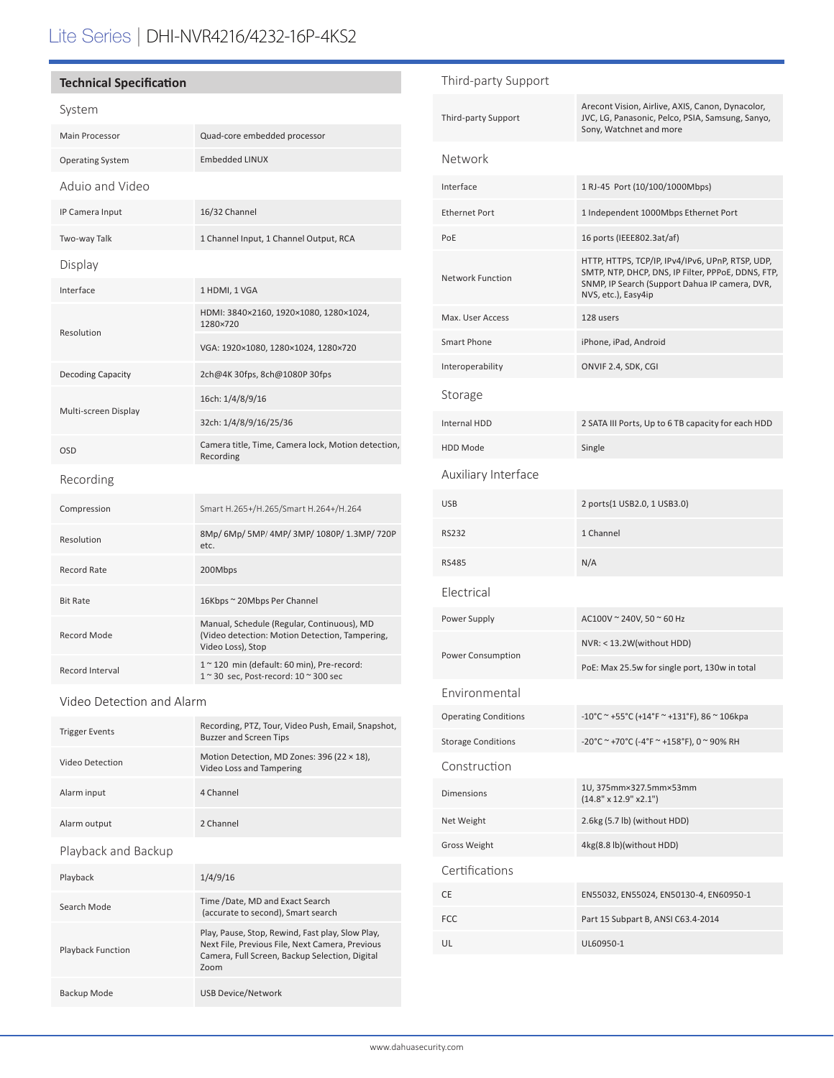# Lite Series | DHI-NVR4216/4232-16P-4KS2

## **Technical Specification**

## System

| Main Processor          | Quad-core embedded processor                                                                                      |  |
|-------------------------|-------------------------------------------------------------------------------------------------------------------|--|
| <b>Operating System</b> | <b>Embedded LINUX</b>                                                                                             |  |
| Aduio and Video         |                                                                                                                   |  |
| IP Camera Input         | 16/32 Channel                                                                                                     |  |
| Two-way Talk            | 1 Channel Input, 1 Channel Output, RCA                                                                            |  |
| Display                 |                                                                                                                   |  |
| Interface               | 1 HDMI, 1 VGA                                                                                                     |  |
| Resolution              | HDMI: 3840×2160, 1920×1080, 1280×1024,<br>1280×720                                                                |  |
|                         | VGA: 1920×1080, 1280×1024, 1280×720                                                                               |  |
| Decoding Capacity       | 2ch@4K 30fps, 8ch@1080P 30fps                                                                                     |  |
| Multi-screen Display    | 16ch: 1/4/8/9/16                                                                                                  |  |
|                         | 32ch: 1/4/8/9/16/25/36                                                                                            |  |
| <b>OSD</b>              | Camera title, Time, Camera lock, Motion detection,<br>Recording                                                   |  |
| Recording               |                                                                                                                   |  |
| Compression             | Smart H.265+/H.265/Smart H.264+/H.264                                                                             |  |
| Resolution              | 8Mp/6Mp/5MP/4MP/3MP/1080P/1.3MP/720P<br>etc.                                                                      |  |
| <b>Record Rate</b>      | 200Mbps                                                                                                           |  |
| <b>Bit Rate</b>         | 16Kbps ~ 20Mbps Per Channel                                                                                       |  |
| Record Mode             | Manual, Schedule (Regular, Continuous), MD<br>(Video detection: Motion Detection, Tampering,<br>Video Loss), Stop |  |
| Record Interval         | 1~120 min (default: 60 min), Pre-record:<br>1 ~ 30 sec, Post-record: 10 ~ 300 sec                                 |  |

Video Detection and Alarm

| <b>Trigger Events</b> | Recording, PTZ, Tour, Video Push, Email, Snapshot,<br><b>Buzzer and Screen Tips</b>                                                                           |  |
|-----------------------|---------------------------------------------------------------------------------------------------------------------------------------------------------------|--|
| Video Detection       | Motion Detection, MD Zones: 396 (22 $\times$ 18),<br>Video Loss and Tampering                                                                                 |  |
| Alarm input           | 4 Channel                                                                                                                                                     |  |
| Alarm output          | 2 Channel                                                                                                                                                     |  |
| Playback and Backup   |                                                                                                                                                               |  |
| Playback              | 1/4/9/16                                                                                                                                                      |  |
| Search Mode           | Time /Date, MD and Exact Search<br>(accurate to second), Smart search                                                                                         |  |
| Playback Function     | Play, Pause, Stop, Rewind, Fast play, Slow Play,<br>Next File, Previous File, Next Camera, Previous<br>Camera, Full Screen, Backup Selection, Digital<br>Zoom |  |
| Backup Mode           | <b>USB Device/Network</b>                                                                                                                                     |  |

| Third-party Support         |                                                                                                                                                                                 |
|-----------------------------|---------------------------------------------------------------------------------------------------------------------------------------------------------------------------------|
| Third-party Support         | Arecont Vision, Airlive, AXIS, Canon, Dynacolor,<br>JVC, LG, Panasonic, Pelco, PSIA, Samsung, Sanyo,<br>Sony, Watchnet and more                                                 |
| Network                     |                                                                                                                                                                                 |
| Interface                   | 1 RJ-45 Port (10/100/1000Mbps)                                                                                                                                                  |
| <b>Ethernet Port</b>        | 1 Independent 1000Mbps Ethernet Port                                                                                                                                            |
| PoE                         | 16 ports (IEEE802.3at/af)                                                                                                                                                       |
| <b>Network Function</b>     | HTTP, HTTPS, TCP/IP, IPv4/IPv6, UPnP, RTSP, UDP,<br>SMTP, NTP, DHCP, DNS, IP Filter, PPPoE, DDNS, FTP,<br>SNMP, IP Search (Support Dahua IP camera, DVR,<br>NVS, etc.), Easy4ip |
| Max. User Access            | 128 users                                                                                                                                                                       |
| <b>Smart Phone</b>          | iPhone, iPad, Android                                                                                                                                                           |
| Interoperability            | ONVIF 2.4, SDK, CGI                                                                                                                                                             |
| Storage                     |                                                                                                                                                                                 |
| Internal HDD                | 2 SATA III Ports, Up to 6 TB capacity for each HDD                                                                                                                              |
| HDD Mode                    | Single                                                                                                                                                                          |
| Auxiliary Interface         |                                                                                                                                                                                 |
| <b>USB</b>                  | 2 ports(1 USB2.0, 1 USB3.0)                                                                                                                                                     |
| RS232                       | 1 Channel                                                                                                                                                                       |
| <b>RS485</b>                | N/A                                                                                                                                                                             |
| Electrical                  |                                                                                                                                                                                 |
| Power Supply                | $AC100V \approx 240V, 50 \approx 60 Hz$                                                                                                                                         |
| Power Consumption           | NVR: < 13.2W(without HDD)                                                                                                                                                       |
|                             | PoE: Max 25.5w for single port, 130w in total                                                                                                                                   |
| Environmental               |                                                                                                                                                                                 |
| <b>Operating Conditions</b> | $-10^{\circ}$ C ~ +55°C (+14°F ~ +131°F), 86 ~ 106kpa                                                                                                                           |
| <b>Storage Conditions</b>   | -20°C ~ +70°C (-4°F ~ +158°F), 0 ~ 90% RH                                                                                                                                       |
| Construction                |                                                                                                                                                                                 |
| Dimensions                  | 1U, 375mm×327.5mm×53mm<br>$(14.8" \times 12.9" \times 2.1")$                                                                                                                    |
| Net Weight                  | 2.6kg (5.7 lb) (without HDD)                                                                                                                                                    |
| <b>Gross Weight</b>         | 4kg(8.8 lb)(without HDD)                                                                                                                                                        |
| Certifications              |                                                                                                                                                                                 |
| CE                          | EN55032, EN55024, EN50130-4, EN60950-1                                                                                                                                          |
| FCC                         | Part 15 Subpart B, ANSI C63.4-2014                                                                                                                                              |
| UL                          | UL60950-1                                                                                                                                                                       |